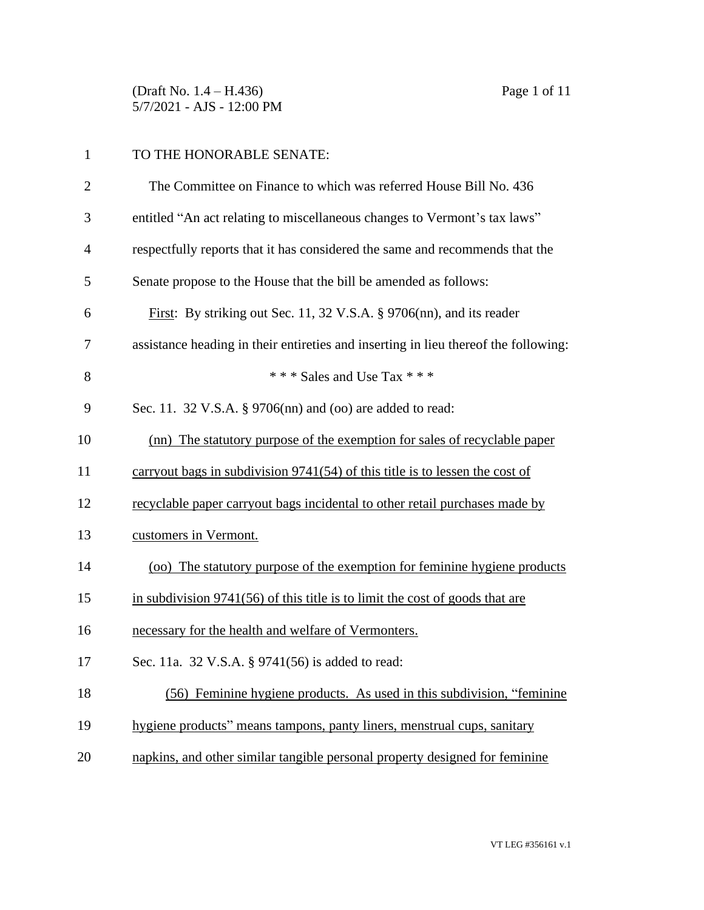(Draft No. 1.4 – H.436) Page 1 of 11 5/7/2021 - AJS - 12:00 PM

## TO THE HONORABLE SENATE:

| $\overline{2}$ | The Committee on Finance to which was referred House Bill No. 436                   |
|----------------|-------------------------------------------------------------------------------------|
| 3              | entitled "An act relating to miscellaneous changes to Vermont's tax laws"           |
| 4              | respectfully reports that it has considered the same and recommends that the        |
| 5              | Senate propose to the House that the bill be amended as follows:                    |
| 6              | First: By striking out Sec. 11, 32 V.S.A. § 9706(nn), and its reader                |
| 7              | assistance heading in their entireties and inserting in lieu thereof the following: |
| 8              | *** Sales and Use Tax ***                                                           |
| 9              | Sec. 11. 32 V.S.A. § 9706(nn) and (oo) are added to read:                           |
| 10             | (nn) The statutory purpose of the exemption for sales of recyclable paper           |
| 11             | carryout bags in subdivision $9741(54)$ of this title is to lessen the cost of      |
| 12             | recyclable paper carryout bags incidental to other retail purchases made by         |
| 13             | customers in Vermont.                                                               |
| 14             | (oo) The statutory purpose of the exemption for feminine hygiene products           |
| 15             | in subdivision $9741(56)$ of this title is to limit the cost of goods that are      |
| 16             | necessary for the health and welfare of Vermonters.                                 |
| 17             | Sec. 11a. 32 V.S.A. § 9741(56) is added to read:                                    |
| 18             | (56) Feminine hygiene products. As used in this subdivision, "feminine              |
| 19             | hygiene products" means tampons, panty liners, menstrual cups, sanitary             |
| 20             | napkins, and other similar tangible personal property designed for feminine         |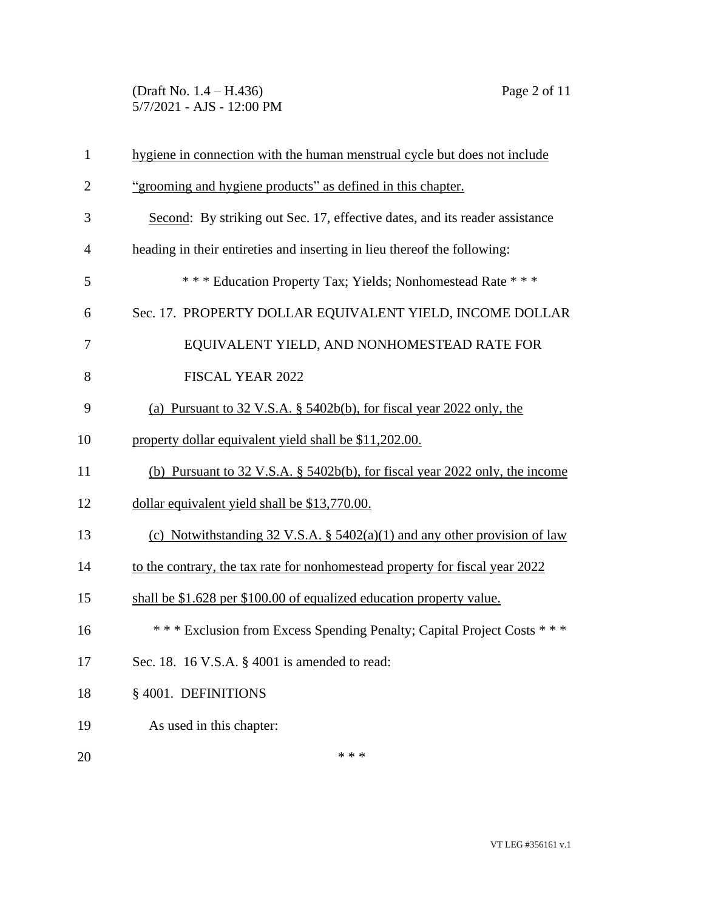(Draft No. 1.4 – H.436) Page 2 of 11 5/7/2021 - AJS - 12:00 PM

| $\mathbf{1}$   | hygiene in connection with the human menstrual cycle but does not include    |
|----------------|------------------------------------------------------------------------------|
| $\overline{2}$ | "grooming and hygiene products" as defined in this chapter.                  |
| 3              | Second: By striking out Sec. 17, effective dates, and its reader assistance  |
| $\overline{4}$ | heading in their entireties and inserting in lieu thereof the following:     |
| 5              | *** Education Property Tax; Yields; Nonhomestead Rate ***                    |
| 6              | Sec. 17. PROPERTY DOLLAR EQUIVALENT YIELD, INCOME DOLLAR                     |
| 7              | EQUIVALENT YIELD, AND NONHOMESTEAD RATE FOR                                  |
| 8              | FISCAL YEAR 2022                                                             |
| 9              | (a) Pursuant to 32 V.S.A. § 5402b(b), for fiscal year 2022 only, the         |
| 10             | property dollar equivalent yield shall be \$11,202.00.                       |
| 11             | (b) Pursuant to 32 V.S.A. § 5402b(b), for fiscal year 2022 only, the income  |
| 12             | dollar equivalent yield shall be \$13,770.00.                                |
| 13             | (c) Notwithstanding 32 V.S.A. § $5402(a)(1)$ and any other provision of law  |
| 14             | to the contrary, the tax rate for nonhomestead property for fiscal year 2022 |
| 15             | shall be \$1.628 per \$100.00 of equalized education property value.         |
| 16             | *** Exclusion from Excess Spending Penalty; Capital Project Costs ***        |
| 17             | Sec. 18. 16 V.S.A. § 4001 is amended to read:                                |
| 18             | § 4001. DEFINITIONS                                                          |
| 19             | As used in this chapter:                                                     |
| 20             | * * *                                                                        |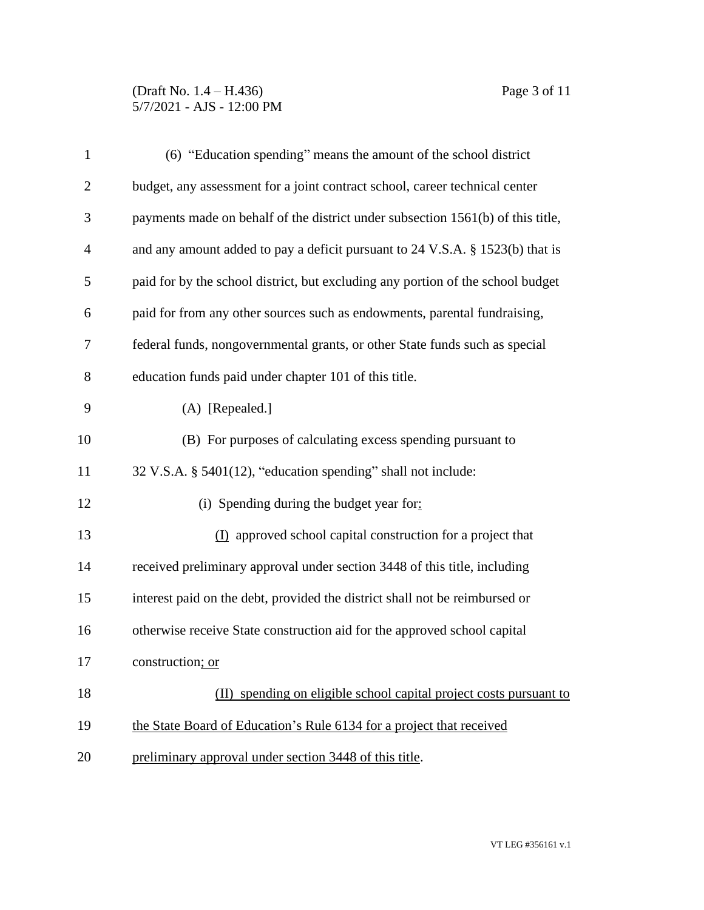## (Draft No. 1.4 – H.436) Page 3 of 11 5/7/2021 - AJS - 12:00 PM

| $\mathbf{1}$   | (6) "Education spending" means the amount of the school district                |
|----------------|---------------------------------------------------------------------------------|
| $\overline{2}$ | budget, any assessment for a joint contract school, career technical center     |
| 3              | payments made on behalf of the district under subsection 1561(b) of this title, |
| $\overline{4}$ | and any amount added to pay a deficit pursuant to 24 V.S.A. § 1523(b) that is   |
| 5              | paid for by the school district, but excluding any portion of the school budget |
| 6              | paid for from any other sources such as endowments, parental fundraising,       |
| 7              | federal funds, nongovernmental grants, or other State funds such as special     |
| 8              | education funds paid under chapter 101 of this title.                           |
| 9              | $(A)$ [Repealed.]                                                               |
| 10             | (B) For purposes of calculating excess spending pursuant to                     |
| 11             | 32 V.S.A. § 5401(12), "education spending" shall not include:                   |
| 12             | (i) Spending during the budget year for:                                        |
| 13             | (I) approved school capital construction for a project that                     |
| 14             | received preliminary approval under section 3448 of this title, including       |
| 15             | interest paid on the debt, provided the district shall not be reimbursed or     |
| 16             | otherwise receive State construction aid for the approved school capital        |
| 17             | construction; or                                                                |
| 18             | (II) spending on eligible school capital project costs pursuant to              |
| 19             | the State Board of Education's Rule 6134 for a project that received            |
| 20             | preliminary approval under section 3448 of this title.                          |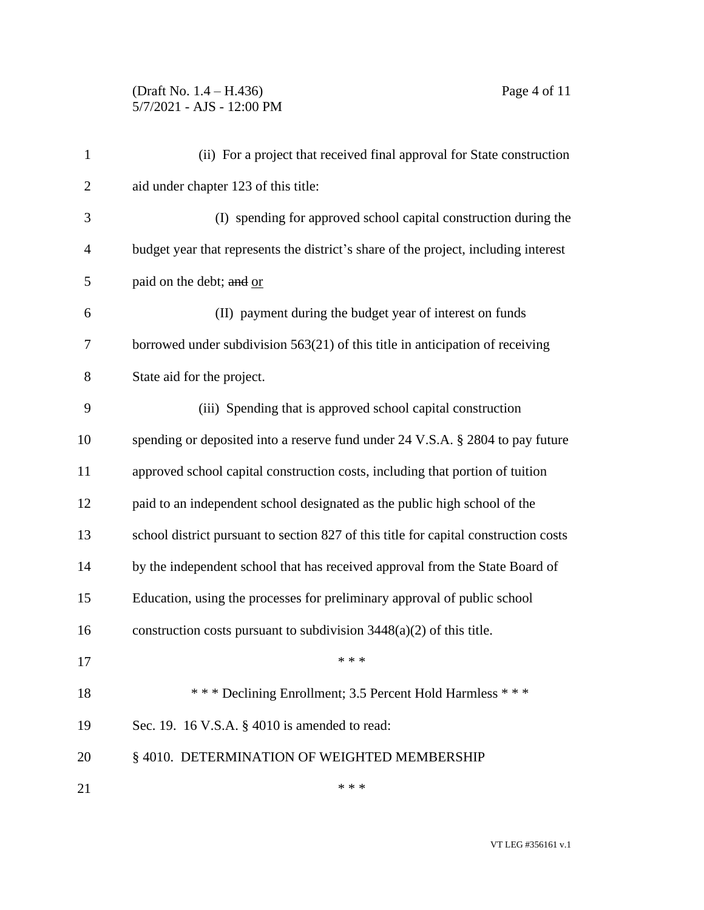## (Draft No. 1.4 – H.436) Page 4 of 11 5/7/2021 - AJS - 12:00 PM

| $\mathbf{1}$   | (ii) For a project that received final approval for State construction               |
|----------------|--------------------------------------------------------------------------------------|
| $\overline{2}$ | aid under chapter 123 of this title:                                                 |
| 3              | (I) spending for approved school capital construction during the                     |
| $\overline{4}$ | budget year that represents the district's share of the project, including interest  |
| 5              | paid on the debt; and or                                                             |
| 6              | (II) payment during the budget year of interest on funds                             |
| 7              | borrowed under subdivision $563(21)$ of this title in anticipation of receiving      |
| 8              | State aid for the project.                                                           |
| 9              | (iii) Spending that is approved school capital construction                          |
| 10             | spending or deposited into a reserve fund under 24 V.S.A. § 2804 to pay future       |
| 11             | approved school capital construction costs, including that portion of tuition        |
| 12             | paid to an independent school designated as the public high school of the            |
| 13             | school district pursuant to section 827 of this title for capital construction costs |
| 14             | by the independent school that has received approval from the State Board of         |
| 15             | Education, using the processes for preliminary approval of public school             |
| 16             | construction costs pursuant to subdivision $3448(a)(2)$ of this title.               |
| 17             | * * *                                                                                |
| 18             | *** Declining Enrollment; 3.5 Percent Hold Harmless ***                              |
| 19             | Sec. 19. 16 V.S.A. § 4010 is amended to read:                                        |
| 20             | §4010. DETERMINATION OF WEIGHTED MEMBERSHIP                                          |
| 21             | * * *                                                                                |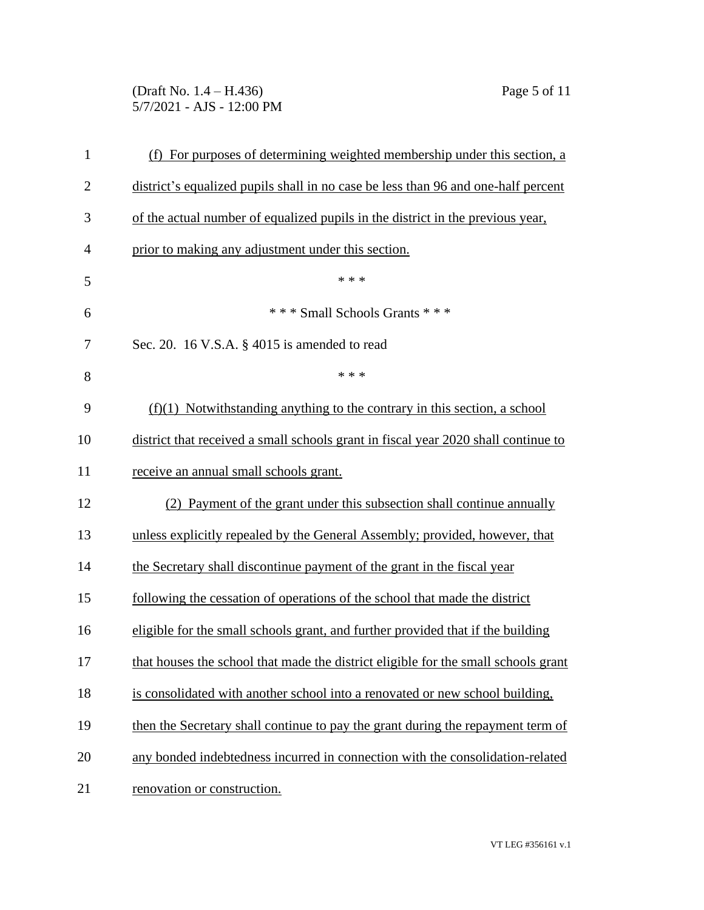(Draft No. 1.4 – H.436) Page 5 of 11 5/7/2021 - AJS - 12:00 PM

| $\mathbf{1}$   | (f) For purposes of determining weighted membership under this section, a          |
|----------------|------------------------------------------------------------------------------------|
| $\overline{2}$ | district's equalized pupils shall in no case be less than 96 and one-half percent  |
| 3              | of the actual number of equalized pupils in the district in the previous year,     |
| $\overline{4}$ | prior to making any adjustment under this section.                                 |
| 5              | * * *                                                                              |
| 6              | *** Small Schools Grants ***                                                       |
| 7              | Sec. 20. 16 V.S.A. $\S$ 4015 is amended to read                                    |
| 8              | * * *                                                                              |
| 9              | $(f)(1)$ Notwithstanding anything to the contrary in this section, a school        |
| 10             | district that received a small schools grant in fiscal year 2020 shall continue to |
| 11             | receive an annual small schools grant.                                             |
| 12             | (2) Payment of the grant under this subsection shall continue annually             |
| 13             | unless explicitly repealed by the General Assembly; provided, however, that        |
| 14             | the Secretary shall discontinue payment of the grant in the fiscal year            |
| 15             | following the cessation of operations of the school that made the district         |
| 16             | eligible for the small schools grant, and further provided that if the building    |
| 17             | that houses the school that made the district eligible for the small schools grant |
| 18             | is consolidated with another school into a renovated or new school building,       |
| 19             | then the Secretary shall continue to pay the grant during the repayment term of    |
| 20             | any bonded indebtedness incurred in connection with the consolidation-related      |
| 21             | renovation or construction.                                                        |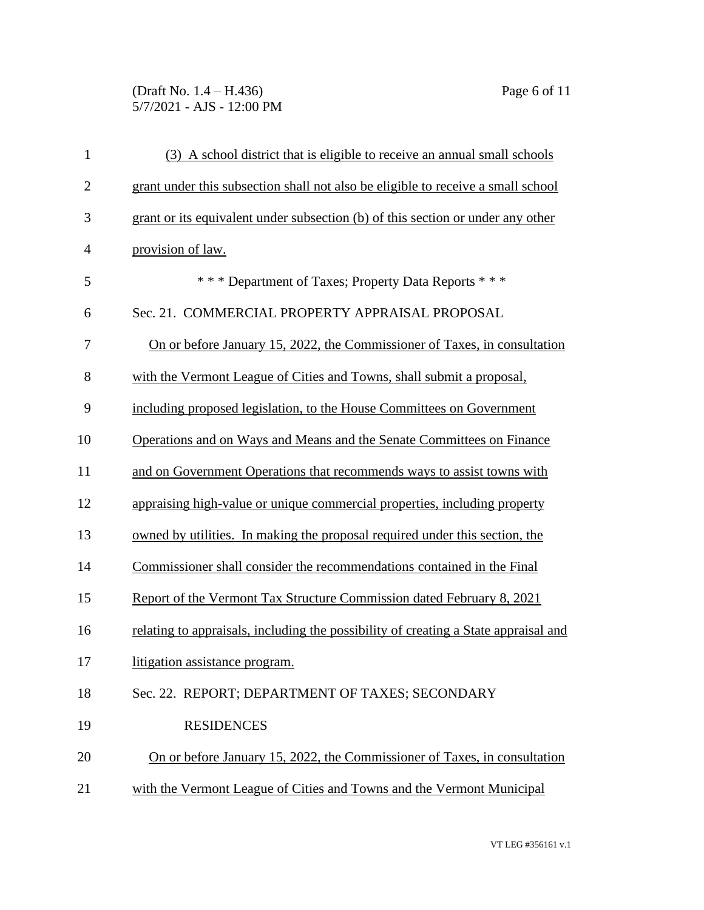(Draft No. 1.4 – H.436) Page 6 of 11 5/7/2021 - AJS - 12:00 PM

| $\mathbf{1}$   | (3) A school district that is eligible to receive an annual small schools           |
|----------------|-------------------------------------------------------------------------------------|
| $\overline{2}$ | grant under this subsection shall not also be eligible to receive a small school    |
| 3              | grant or its equivalent under subsection (b) of this section or under any other     |
| 4              | provision of law.                                                                   |
| 5              | *** Department of Taxes; Property Data Reports ***                                  |
| 6              | Sec. 21. COMMERCIAL PROPERTY APPRAISAL PROPOSAL                                     |
| 7              | On or before January 15, 2022, the Commissioner of Taxes, in consultation           |
| 8              | with the Vermont League of Cities and Towns, shall submit a proposal,               |
| 9              | including proposed legislation, to the House Committees on Government               |
| 10             | Operations and on Ways and Means and the Senate Committees on Finance               |
| 11             | and on Government Operations that recommends ways to assist towns with              |
| 12             | appraising high-value or unique commercial properties, including property           |
| 13             | owned by utilities. In making the proposal required under this section, the         |
| 14             | Commissioner shall consider the recommendations contained in the Final              |
| 15             | Report of the Vermont Tax Structure Commission dated February 8, 2021               |
| 16             | relating to appraisals, including the possibility of creating a State appraisal and |
| 17             | litigation assistance program.                                                      |
| 18             | Sec. 22. REPORT; DEPARTMENT OF TAXES; SECONDARY                                     |
| 19             | <b>RESIDENCES</b>                                                                   |
| 20             | On or before January 15, 2022, the Commissioner of Taxes, in consultation           |
| 21             | with the Vermont League of Cities and Towns and the Vermont Municipal               |
|                |                                                                                     |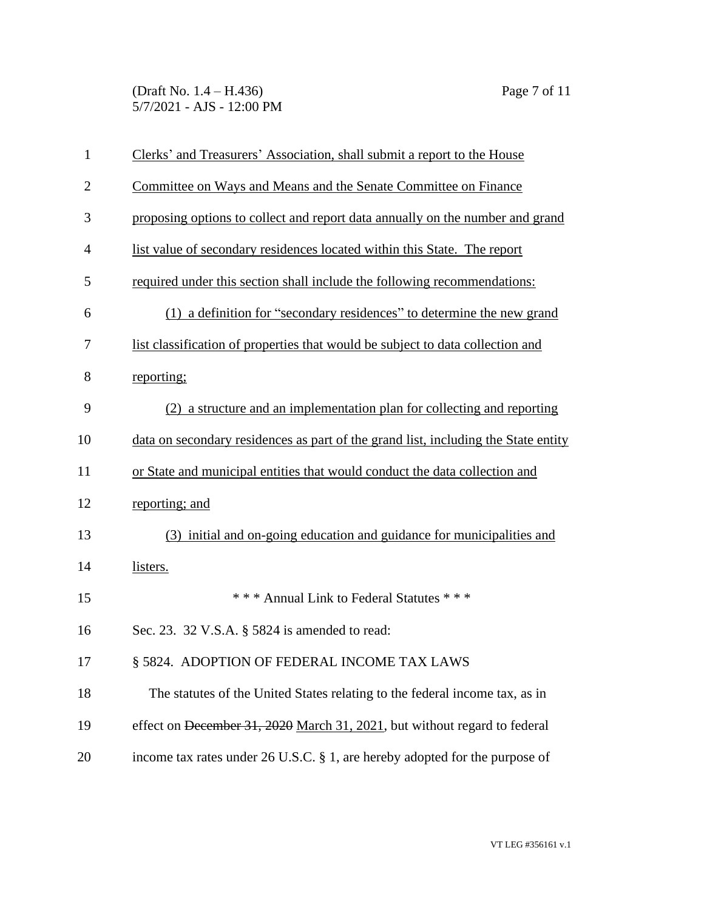(Draft No. 1.4 – H.436) Page 7 of 11 5/7/2021 - AJS - 12:00 PM

| 1              | Clerks' and Treasurers' Association, shall submit a report to the House            |
|----------------|------------------------------------------------------------------------------------|
| $\overline{2}$ | Committee on Ways and Means and the Senate Committee on Finance                    |
| 3              | proposing options to collect and report data annually on the number and grand      |
| $\overline{4}$ | list value of secondary residences located within this State. The report           |
| 5              | required under this section shall include the following recommendations:           |
| 6              | (1) a definition for "secondary residences" to determine the new grand             |
| 7              | list classification of properties that would be subject to data collection and     |
| 8              | reporting;                                                                         |
| 9              | (2) a structure and an implementation plan for collecting and reporting            |
| 10             | data on secondary residences as part of the grand list, including the State entity |
| 11             | or State and municipal entities that would conduct the data collection and         |
| 12             | reporting; and                                                                     |
| 13             | (3) initial and on-going education and guidance for municipalities and             |
| 14             | listers.                                                                           |
| 15             | *** Annual Link to Federal Statutes ***                                            |
| 16             | Sec. 23. 32 V.S.A. § 5824 is amended to read:                                      |
| 17             | § 5824. ADOPTION OF FEDERAL INCOME TAX LAWS                                        |
| 18             | The statutes of the United States relating to the federal income tax, as in        |
| 19             | effect on December 31, 2020 March 31, 2021, but without regard to federal          |
| 20             | income tax rates under 26 U.S.C. § 1, are hereby adopted for the purpose of        |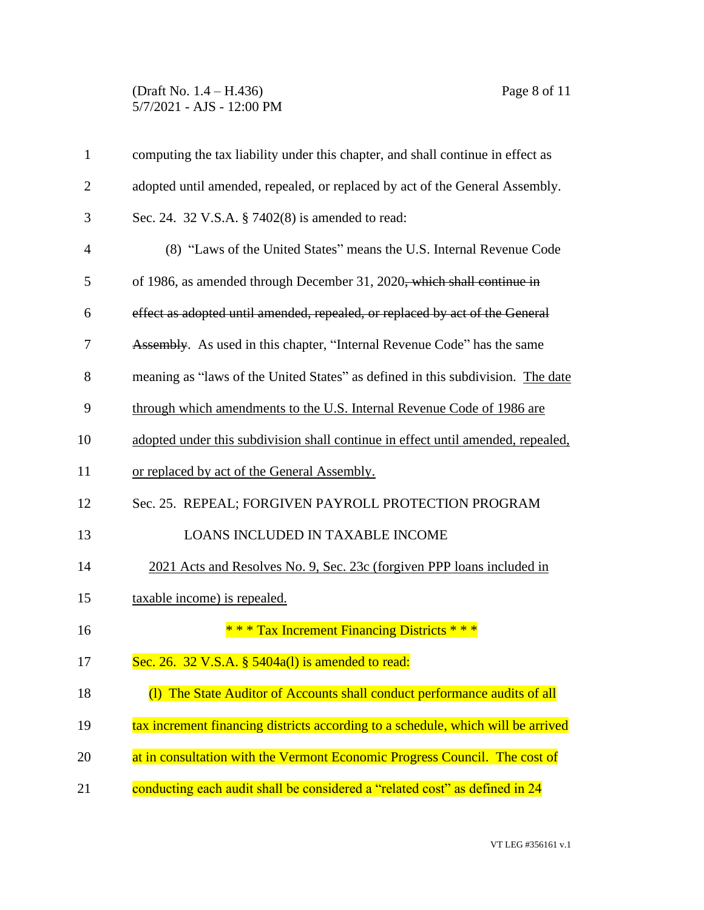(Draft No. 1.4 – H.436) Page 8 of 11 5/7/2021 - AJS - 12:00 PM

| $\mathbf{1}$   | computing the tax liability under this chapter, and shall continue in effect as    |
|----------------|------------------------------------------------------------------------------------|
| $\overline{2}$ | adopted until amended, repealed, or replaced by act of the General Assembly.       |
| 3              | Sec. 24. 32 V.S.A. § 7402(8) is amended to read:                                   |
| 4              | (8) "Laws of the United States" means the U.S. Internal Revenue Code               |
| 5              | of 1986, as amended through December 31, 2020 <del>, which shall continue in</del> |
| 6              | effect as adopted until amended, repealed, or replaced by act of the General       |
| 7              | <b>Assembly.</b> As used in this chapter, "Internal Revenue Code" has the same     |
| 8              | meaning as "laws of the United States" as defined in this subdivision. The date    |
| 9              | through which amendments to the U.S. Internal Revenue Code of 1986 are             |
| 10             | adopted under this subdivision shall continue in effect until amended, repealed,   |
| 11             | or replaced by act of the General Assembly.                                        |
| 12             | Sec. 25. REPEAL; FORGIVEN PAYROLL PROTECTION PROGRAM                               |
| 13             | LOANS INCLUDED IN TAXABLE INCOME                                                   |
| 14             | 2021 Acts and Resolves No. 9, Sec. 23c (forgiven PPP loans included in             |
| 15             | taxable income) is repealed.                                                       |
| 16             | * * * Tax Increment Financing Districts * * *                                      |
| 17             | Sec. 26. 32 V.S.A. $\S$ 5404a(1) is amended to read:                               |
| 18             | (1) The State Auditor of Accounts shall conduct performance audits of all          |
| 19             | tax increment financing districts according to a schedule, which will be arrived   |
| 20             | at in consultation with the Vermont Economic Progress Council. The cost of         |
| 21             | conducting each audit shall be considered a "related cost" as defined in 24        |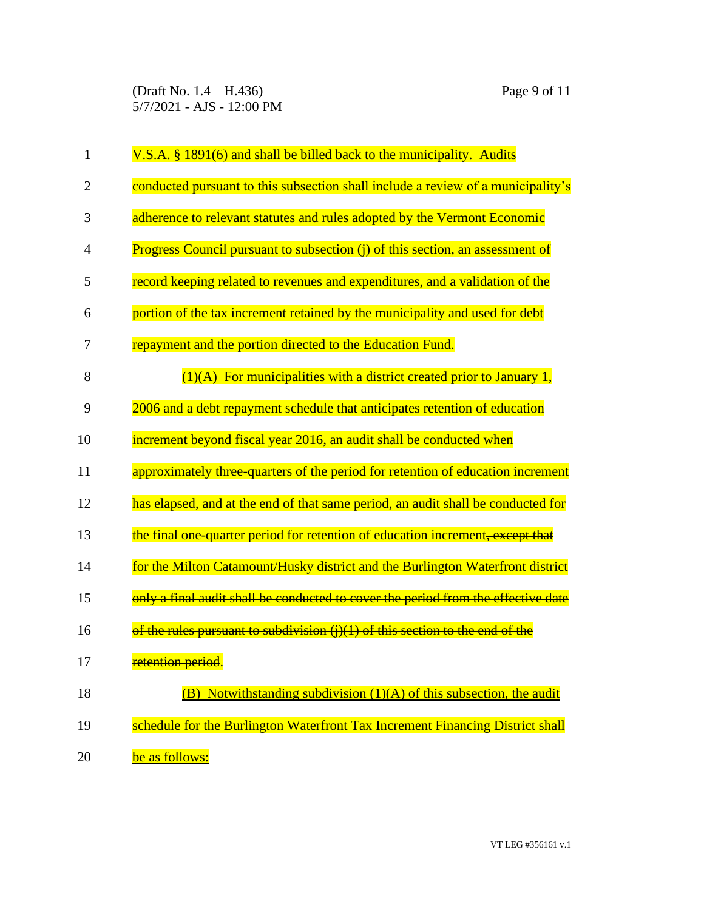(Draft No. 1.4 – H.436) Page 9 of 11 5/7/2021 - AJS - 12:00 PM

| 1              | V.S.A. § 1891(6) and shall be billed back to the municipality. Audits             |
|----------------|-----------------------------------------------------------------------------------|
| $\overline{2}$ | conducted pursuant to this subsection shall include a review of a municipality's  |
| 3              | adherence to relevant statutes and rules adopted by the Vermont Economic          |
| $\overline{4}$ | Progress Council pursuant to subsection (j) of this section, an assessment of     |
| 5              | record keeping related to revenues and expenditures, and a validation of the      |
| 6              | portion of the tax increment retained by the municipality and used for debt       |
| 7              | repayment and the portion directed to the Education Fund.                         |
| 8              | $(1)(A)$ For municipalities with a district created prior to January 1,           |
| 9              | 2006 and a debt repayment schedule that anticipates retention of education        |
| 10             | increment beyond fiscal year 2016, an audit shall be conducted when               |
| 11             | approximately three-quarters of the period for retention of education increment   |
| 12             | has elapsed, and at the end of that same period, an audit shall be conducted for  |
| 13             | the final one-quarter period for retention of education increment, except that    |
| 14             | for the Milton Catamount/Husky district and the Burlington Waterfront district    |
| 15             | only a final audit shall be conducted to cover the period from the effective date |
| 16             | of the rules pursuant to subdivision $(i)(1)$ of this section to the end of the   |
| 17             | retention period.                                                                 |
| 18             | $(B)$ Notwithstanding subdivision $(1)(A)$ of this subsection, the audit          |
| 19             | schedule for the Burlington Waterfront Tax Increment Financing District shall     |
| 20             | be as follows:                                                                    |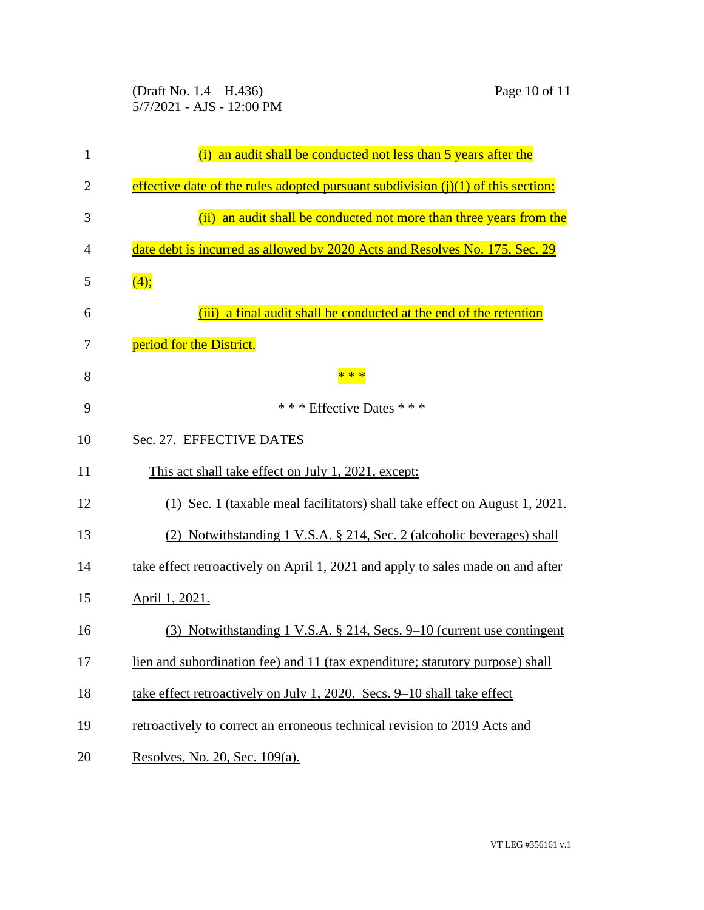(Draft No. 1.4 – H.436) Page 10 of 11 5/7/2021 - AJS - 12:00 PM

| 1              | an audit shall be conducted not less than 5 years after the<br>(i)                 |
|----------------|------------------------------------------------------------------------------------|
| $\overline{2}$ | effective date of the rules adopted pursuant subdivision $(i)(1)$ of this section; |
| 3              | (ii) an audit shall be conducted not more than three years from the                |
| $\overline{4}$ | date debt is incurred as allowed by 2020 Acts and Resolves No. 175, Sec. 29        |
| 5              | (4);                                                                               |
| 6              | (iii) a final audit shall be conducted at the end of the retention                 |
| 7              | period for the District.                                                           |
| 8              | * * *                                                                              |
| 9              | * * * Effective Dates * * *                                                        |
| 10             | Sec. 27. EFFECTIVE DATES                                                           |
| 11             | This act shall take effect on July 1, 2021, except:                                |
| 12             | (1) Sec. 1 (taxable meal facilitators) shall take effect on August 1, 2021.        |
| 13             | (2) Notwithstanding 1 V.S.A. § 214, Sec. 2 (alcoholic beverages) shall             |
| 14             | take effect retroactively on April 1, 2021 and apply to sales made on and after    |
| 15             | April 1, 2021.                                                                     |
| 16             | (3) Notwithstanding 1 V.S.A. § 214, Secs. 9–10 (current use contingent             |
| 17             | lien and subordination fee) and 11 (tax expenditure; statutory purpose) shall      |
| 18             | take effect retroactively on July 1, 2020. Secs. 9-10 shall take effect            |
| 19             | retroactively to correct an erroneous technical revision to 2019 Acts and          |
| 20             | Resolves, No. 20, Sec. 109(a).                                                     |